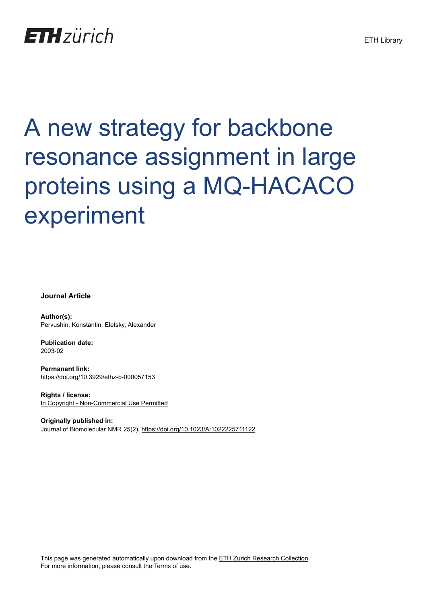## **ETH** zürich

# A new strategy for backbone resonance assignment in large proteins using a MQ-HACACO experiment

**Journal Article**

**Author(s):** Pervushin, Konstantin; Eletsky, Alexander

**Publication date:** 2003-02

**Permanent link:** <https://doi.org/10.3929/ethz-b-000057153>

**Rights / license:** [In Copyright - Non-Commercial Use Permitted](http://rightsstatements.org/page/InC-NC/1.0/)

**Originally published in:** Journal of Biomolecular NMR 25(2),<https://doi.org/10.1023/A:1022225711122>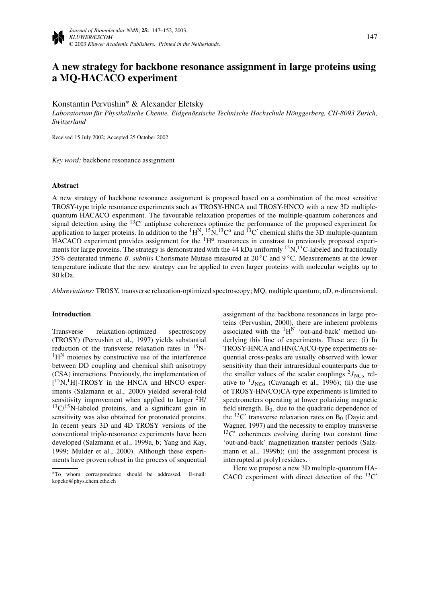### **A new strategy for backbone resonance assignment in large proteins using a MQ-HACACO experiment**

Konstantin Pervushin∗ & Alexander Eletsky

*Laboratorium für Physikalische Chemie, Eidgenössische Technische Hochschule Hönggerberg, CH-8093 Zurich, Switzerland*

Received 15 July 2002; Accepted 25 October 2002

*Key word:* backbone resonance assignment

#### **Abstract**

A new strategy of backbone resonance assignment is proposed based on a combination of the most sensitive TROSY-type triple resonance experiments such as TROSY-HNCA and TROSY-HNCO with a new 3D multiplequantum HACACO experiment. The favourable relaxation properties of the multiple-quantum coherences and signal detection using the  ${}^{13}C'$  antiphase coherences optimize the performance of the proposed experiment for application to larger proteins. In addition to the  ${}^{1}H^{N}$ ,  ${}^{15}N$ ,  ${}^{13}C^{\alpha}$  and  ${}^{13}C'$  chemical shifts the 3D multiple-quantum HACACO experiment provides assignment for the  ${}^{1}H^{\alpha}$  resonances in constrast to previously proposed experiments for large proteins. The strategy is demonstrated with the 44 kDa uniformly <sup>15</sup>N,<sup>13</sup>C-labeled and fractionally 35% deuterated trimeric *B. subtilis* Chorismate Mutase measured at 20 ◦C and 9 ◦C. Measurements at the lower temperature indicate that the new strategy can be applied to even larger proteins with molecular weights up to 80 kDa.

*Abbreviations:* TROSY, transverse relaxation-optimized spectroscopy; MQ, multiple quantum; nD, *n*-dimensional.

#### **Introduction**

Transverse relaxation-optimized spectroscopy (TROSY) (Pervushin et al., 1997) yields substantial reduction of the transverse relaxation rates in  $^{15}$ N- ${}^{1}H^{N}$  moieties by constructive use of the interference between DD coupling and chemical shift anisotropy (CSA) interactions. Previously, the implementation of [<sup>15</sup>N,<sup>1</sup>H]-TROSY in the HNCA and HNCO experiments (Salzmann et al., 2000) yielded several-fold sensitivity improvement when applied to larger  ${}^{2}H/{}$  $13\text{C}/15\text{N-}$ labeled proteins, and a significant gain in sensitivity was also obtained for protonated proteins. In recent years 3D and 4D TROSY versions of the conventional triple-resonance experiments have been developed (Salzmann et al., 1999a, b; Yang and Kay, 1999; Mulder et al., 2000). Although these experiments have proven robust in the process of sequential assignment of the backbone resonances in large proteins (Pervushin, 2000), there are inherent problems associated with the  ${}^{1}H^{N}$  'out-and-back' method underlying this line of experiments. These are: (i) In TROSY-HNCA and HN(CA)CO-type experiments sequential cross-peaks are usually observed with lower sensitivity than their intraresidual counterparts due to the smaller values of the scalar couplings  $^{2}J_{NC\alpha}$  relative to  $^{1}J_{NC\alpha}$  (Cavanagh et al., 1996); (ii) the use of TROSY-HN(CO)CA-type experiments is limited to spectrometers operating at lower polarizing magnetic field strength,  $B_0$ , due to the quadratic dependence of the  ${}^{13}C'$  transverse relaxation rates on B<sub>0</sub> (Dayie and Wagner, 1997) and the necessity to employ transverse  $13C'$  coherences evolving during two constant time 'out-and-back' magnetization transfer periods (Salzmann et al., 1999b); (iii) the assignment process is interrupted at prolyl residues.

Here we propose a new 3D multiple-quantum HA-CACO experiment with direct detection of the  ${}^{13}C'$ 

<sup>∗</sup>To whom correspondence should be addressed. E-mail: kopeko@phys.chem.ethz.ch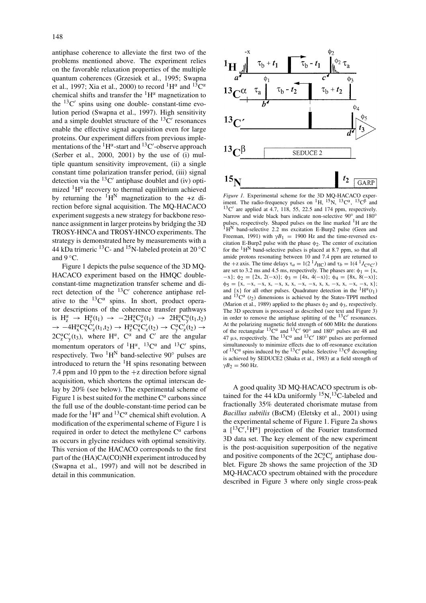antiphase coherence to alleviate the first two of the problems mentioned above. The experiment relies on the favorable relaxation properties of the multiple quantum coherences (Grzesiek et al., 1995; Swapna et al., 1997; Xia et al., 2000) to record  ${}^{1}H^{\alpha}$  and  ${}^{13}C^{\alpha}$ chemical shifts and transfer the  ${}^{1}H^{\alpha}$  magnetization to the  $^{13}$ C' spins using one double- constant-time evolution period (Swapna et al., 1997). High sensitivity and a simple doublet structure of the  ${}^{13}C'$  resonances enable the effective signal acquisition even for large proteins. Our experiment differs from previous implementations of the  $^1\mathrm{H}^\alpha$ -start and  $^{13}\mathrm{C}^\prime$ -observe approach (Serber et al., 2000, 2001) by the use of (i) multiple quantum sensitivity improvement, (ii) a single constant time polarization transfer period, (iii) signal detection via the  ${}^{13}C'$  antiphase doublet and (iv) optimized  ${}^{1}H^{\alpha}$  recovery to thermal equilibrium achieved by returning the  ${}^{1}\text{H}^{N}$  magnetization to the +z direction before signal acquisition. The MQ-HACACO experiment suggests a new strategy for backbone resonance assignment in larger proteins by bridging the 3D TROSY-HNCA and TROSY-HNCO experiments. The strategy is demonstrated here by measurements with a 44 kDa trimeric <sup>13</sup>C- and <sup>15</sup>N-labeled protein at 20 °C and  $9^{\circ}$ C.

Figure 1 depicts the pulse sequence of the 3D MQ-HACACO experiment based on the HMQC doubleconstant-time magnetization transfer scheme and direct detection of the  $^{13}$ C' coherence antiphase relative to the  ${}^{13}C^{\alpha}$  spins. In short, product operator descriptions of the coherence transfer pathways is  $H_z^{\alpha} \rightarrow H_y^{\alpha}(t_1) \rightarrow -2H_x^{\alpha}C_z^{\alpha}(t_1) \rightarrow 2H_x^{\alpha}C_y^{\alpha}(t_1,t_2)$ →  $-4H_x^{\alpha}C_x^{\alpha}C'_z(t_1,t_2) \rightarrow H_z^{\alpha}C_x^{\alpha}C'_z(t_2) \rightarrow C_y^{\alpha}C'_z(t_2) \rightarrow$  $2C_2^{\alpha}C'_y(t_3)$ , where  $H^{\alpha}$ ,  $C^{\alpha}$  and  $C'$  are the angular momentum operators of  ${}^{1}H^{\alpha}$ ,  ${}^{13}C^{\alpha}$  and  ${}^{13}C'$  spins, respectively. Two  ${}^{1}H^{N}$  band-selective 90 $^{\circ}$  pulses are introduced to return the  ${}^{1}H$  spins resonating between 7.4 ppm and 10 ppm to the  $+z$  direction before signal acquisition, which shortens the optimal interscan delay by 20% (see below). The experimental scheme of Figure 1 is best suited for the methine  $C^{\alpha}$  carbons since the full use of the double-constant-time period can be made for the  ${}^{1}H^{\alpha}$  and  ${}^{13}C^{\alpha}$  chemical shift evolution. A modification of the experimental scheme of Figure 1 is required in order to detect the methylene  $C^{\alpha}$  carbons as occurs in glycine residues with optimal sensitivity. This version of the HACACO corresponds to the first part of the (HA)CA(CO)NH experiment introduced by (Swapna et al., 1997) and will not be described in detail in this communication.



*Figure 1.* Experimental scheme for the 3D MQ-HACACO experiment. The radio-frequency pulses on <sup>1</sup>H, <sup>15</sup>N, <sup>13</sup>C<sup> $\alpha$ </sup>, <sup>13</sup>C<sup>β</sup> and  $13^{\circ}$ C' are applied at 4.7, 118, 55, 22.5 and 174 ppm, respectively. Narrow and wide black bars indicate non-selective 90° and 180° pulses, respectively. Shaped pulses on the line marked <sup>1</sup>H are the  $1_H$ <sup>N</sup> band-selective 2.2 ms excitation E-Burp2 pulse (Geen and Freeman, 1991) with  $\gamma B_1 = 1900$  Hz and the time-reversed excitation E-Burp2 pulse with the phase  $\phi_2$ . The center of excitation for the  ${}^{1}H^{N}$  band-selective pulses is placed at 8.7 ppm, so that all amide protons resonating between 10 and 7.4 ppm are returned to the +z axis. The time delays  $\tau_a = 1(2 \text{ }^1 J_{\text{HC}})$  and  $\tau_b = 1(4 \text{ }^1 J_{\text{C}^{\alpha} \text{C}'})$ are set to 3.2 ms and 4.5 ms, respectively. The phases are:  $\phi_1 = \{x,$  $-x$ };  $\phi_2 = \{2x, 2(-x)\}; \phi_3 = \{4x, 4(-x)\}; \phi_4 = \{8x, 8(-x)\};$  $\phi_5 = \{x, -x, -x, x, -x, x, x, -x, -x, x, x, -x, x, -x, x\};$ and  $\{x\}$  for all other pulses. Quadrature detection in the  ${}^{1}H^{\alpha}(t_1)$ and  ${}^{13}C^{\alpha}$  ( $t_2$ ) dimensions is achieved by the States-TPPI method (Marion et al., 1989) applied to the phases  $\phi_2$  and  $\phi_3$ , respectively. The 3D spectrum is processed as described (see text and Figure 3) in order to remove the antiphase splitting of the  ${}^{13}C'$  resonances. At the polarizing magnetic field strength of 600 MHz the durations of the rectangular  ${}^{13}C^{\alpha}$  and  ${}^{13}C'$  90° and 180° pulses are 48 and 47  $\mu$ s, respectively. The <sup>13</sup>C<sup> $\alpha$ </sup> and <sup>13</sup>C<sup> $\prime$ </sup> 180 $\degree$  pulses are performed simultaneously to minimize effects due to off-resonance excitation of  ${}^{13}C^{\alpha}$  spins induced by the  ${}^{13}C'$  pulse. Selective  ${}^{13}C^{\beta}$  decoupling is achieved by SEDUCE2 (Shaka et al., 1983) at a field strength of  $\gamma B_2 = 560$  Hz.

A good quality 3D MQ-HACACO spectrum is obtained for the 44 kDa uniformly  ${}^{15}N, {}^{13}C$ -labeled and fractionally 35% deuterated chorismate mutase from *Bacillus subtilis* (BsCM) (Eletsky et al., 2001) using the experimental scheme of Figure 1. Figure 2a shows a  $[$ <sup>13</sup>C',<sup>1</sup>H<sup> $\alpha$ </sup>] projection of the Fourier transformed 3D data set. The key element of the new experiment is the post-acquisition superposition of the negative and positive components of the  $2C_2^{\alpha}C'_y$  antiphase doublet. Figure 2b shows the same projection of the 3D MQ-HACACO spectrum obtained with the procedure described in Figure 3 where only single cross-peak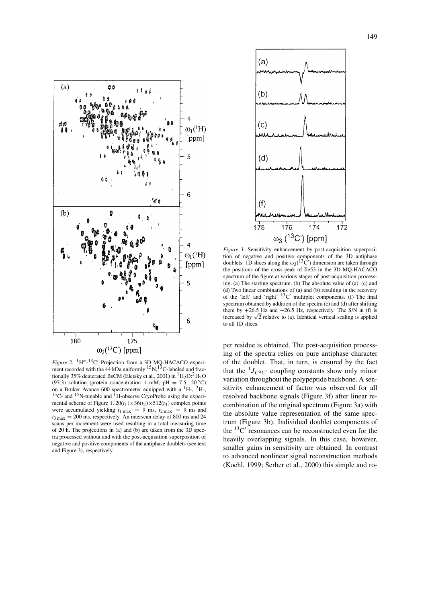

*Figure 2.* <sup>1</sup>H<sup> $\alpha$ </sup>-<sup>13</sup>C' Projection from a 3D MQ-HACACO experi-<br>ment recorded with the 44 kDa uniformly <sup>15</sup>N,<sup>13</sup>C-labeled and fractionally 35% deuterated BsCM (Eletsky et al., 2001) in  ${}^{1}H_{2}O: {}^{2}H_{2}O$ (97:3) solution (protein concentration 1 mM, pH = 7.5,  $20\degree C$ ) on a Bruker Avance 600 spectrometer equipped with a  $^{1}$ H-,  $^{2}$ H-,  $13C$ - and  $15N$ -tunable and  $1H$ -observe CryoProbe using the experimental scheme of Figure 1.  $20(t_1) \times 36(t_2) \times 512(t_3)$  complex points were accumulated yielding  $t_{1 \text{ max}} = 9 \text{ ms}$ ,  $t_{2 \text{ max}} = 9 \text{ ms}$  and  $t_{3\text{ max}} = 200 \text{ ms}$ , respectively. An interscan delay of 800 ms and 24 scans per increment were used resulting in a total measuring time of 20 h. The projections in (a) and (b) are taken from the 3D spectra processed without and with the post-acquisition superposition of negative and positive components of the antiphase doublets (see text and Figure 3), respectively.



*Figure 3.* Sensitivity enhancement by post-acquisition superposition of negative and positive components of the 3D antiphase doublets. 1D slices along the  $\omega_3(^{13}C)$  dimension are taken through the positions of the cross-peak of Ile53 in the 3D MQ-HACACO spectrum of the figure at various stages of post-acquisition processing. (a) The starting spectrum. (b) The absolute value of (a). (c) and (d) Two linear combinations of (a) and (b) resulting in the recovery of the 'left' and 'right'  $^{13}$ C' multiplet components. (f) The final spectrum obtained by addition of the spectra (c) and (d) after shifting them by  $+26.5$  Hz and  $-26.5$  Hz, respectively. The S/N in (f) is increased by  $\sqrt{2}$  relative to (a). Identical vertical scaling is applied to all 1D slices.

per residue is obtained. The post-acquisition processing of the spectra relies on pure antiphase character of the doublet. That, in turn, is ensured by the fact that the  ${}^{1}J_{C}C}$  coupling constants show only minor variation throughout the polypeptide backbone. A sensitivity enhancement of factor was observed for all resolved backbone signals (Figure 3f) after linear recombination of the original spectrum (Figure 3a) with the absolute value representation of the same spectrum (Figure 3b). Individual doublet components of the  ${}^{13}C'$  resonances can be reconstructed even for the heavily overlapping signals. In this case, however, smaller gains in sensitivity are obtained. In contrast to advanced nonlinear signal reconstruction methods (Koehl, 1999; Serber et al., 2000) this simple and ro-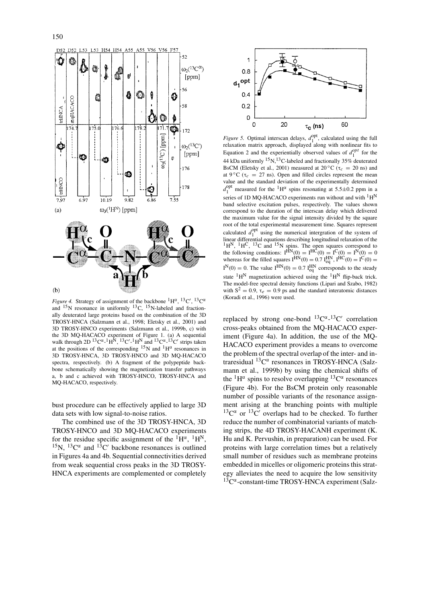

*Figure 4.* Strategy of assignment of the backbone  ${}^{1}H^{\alpha}$ ,  ${}^{13}C'$ ,  ${}^{13}C^{\alpha}$ and  $15$ N resonance in uniformly  $13$ C,  $15$ N-labeled and fractionally deuterated large proteins based on the combination of the 3D TROSY-HNCA (Salzmann et al., 1998; Eletsky et al., 2001) and 3D TROSY-HNCO experiments (Salzmann et al., 1999b, c) with the 3D MQ-HACACO experiment of Figure 1. (a) A sequential walk through  $2D^{13}C^{\alpha}$ -<sup>1</sup>H<sup>N</sup>,  $^{13}C^{\prime}$ -<sup>1</sup>H<sup>N</sup> and  $^{13}C^{\alpha}$ -<sup>13</sup>C' strips taken at the positions of the corresponding  $15N$  and  $1H^{\alpha}$  resonances in 3D TROSY-HNCA, 3D TROSY-HNCO and 3D MQ-HACACO spectra, respectively. (b) A fragment of the polypeptide backbone schematically showing the magnetization transfer pathways a, b and c achieved with TROSY-HNCO, TROSY-HNCA and MQ-HACACO, respectively.

bust procedure can be effectively applied to large 3D data sets with low signal-to-noise ratios.

The combined use of the 3D TROSY-HNCA, 3D TROSY-HNCO and 3D MQ-HACACO experiments for the residue specific assignment of the  ${}^{1}\text{H}^{\alpha}$ ,  ${}^{1}\text{H}^{N}$ , <sup>15</sup>N, <sup>13</sup>C<sup> $\alpha$ </sup> and <sup>13</sup>C<sup> $\prime$ </sup> backbone resonances is outlined in Figures 4a and 4b. Sequential connectivities derived from weak sequential cross peaks in the 3D TROSY-HNCA experiments are complemented or completely



*Figure 5.* Optimal interscan delays,  $d_1^{\text{opt}}$ , calculated using the full relaxation matrix approach, displayed along with nonlinear fits to Equation 2 and the experientially observed values of  $d_1^{opt}$  for the 44 kDa uniformly 15N,13C-labeled and fractionally 35% deuterated BsCM (Eletsky et al., 2001) measured at 20 $\degree$ C ( $\tau_c$  = 20 ns) and at 9  $^{\circ}$ C ( $\tau_c$  = 27 ns). Open and filled circles represent the mean value and the standard deviation of the experimentally determined  $d_1^{\text{opt}}$  measured for the <sup>1</sup>H<sup>α</sup> spins resonating at 5.5±0.2 ppm in a series of 1D MQ-HACACO experiments run without and with  ${}^{1}H^{N}$ band selective excitation pulses, respectively. The values shown correspond to the duration of the interscan delay which delivered the maximum value for the signal intensity divided by the square root of the total experimental measurement time. Squares represent calculated  $d_1^{\text{opt}}$  using the numerical intergration of the system of linear differential equations describing longitudinal relaxation of the  ${}^{1}H^{N}$ ,  ${}^{1}H^{C}$ ,  ${}^{13}C$  and  ${}^{15}N$  spins. The open squares correspond to the following conditions:  $I^{HN}(0) = I^{HC}(0) = I^{C}(0) = I^{N}(0) = 0$ whereas for the filled squares  $I^{\text{HN}}(0) = 0.7 I^{\text{HN}}_{\text{eq}}$ ,  $I^{\text{HC}}(0) = I^{\text{C}}(0) =$  $I^{N}(0) = 0$ . The value  $I^{HN}(0) = 0.7 I_{eq}^{HN}$  corresponds to the steady state  ${}^{1}H^{N}$  magnetization achieved using the  ${}^{1}H^{N}$  flip-back trick. The model-free spectral density functions (Lipari and Szabo, 1982) with  $S^2 = 0.9$ ,  $\tau_e = 0.9$  ps and the standard interatomic distances (Koradi et al., 1996) were used.

replaced by strong one-bond  ${}^{13}C^{\alpha}$ - ${}^{13}C'$  correlation cross-peaks obtained from the MQ-HACACO experiment (Figure 4a). In addition, the use of the MQ-HACACO experiment provides a means to overcome the problem of the spectral overlap of the inter- and intraresidual  ${}^{13}C^{\alpha}$  resonances in TROSY-HNCA (Salzmann et al., 1999b) by using the chemical shifts of the  ${}^{1}H^{\alpha}$  spins to resolve overlapping  ${}^{13}C^{\alpha}$  resonances (Figure 4b). For the BsCM protein only reasonable number of possible variants of the resonance assignment arising at the branching points with multiple  $13^{\circ}$ C<sup>a</sup> or  $13^{\circ}$ C' overlaps had to be checked. To further reduce the number of combinatorial variants of matching strips, the 4D TROSY-HACANH experiment (K. Hu and K. Pervushin, in preparation) can be used. For proteins with large correlation times but a relatively small number of residues such as membrane proteins embedded in micelles or oligomeric proteins this strategy alleviates the need to acquire the low sensitivity  $13^{\circ}C^{\alpha}$ -constant-time TROSY-HNCA experiment (Salz-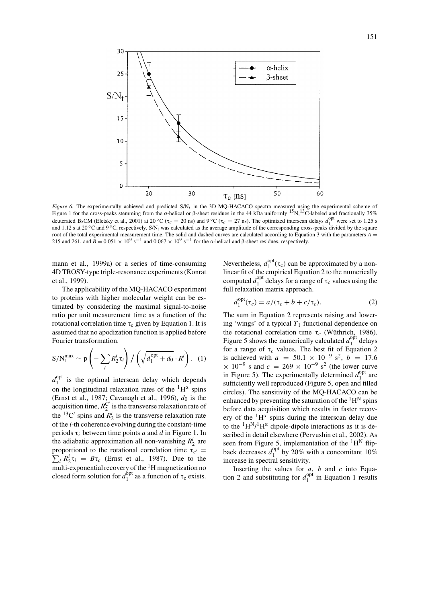

*Figure 6.* The experimentally achieved and predicted S/N*t* in the 3D MQ-HACACO spectra measured using the experimental scheme of Figure 1 for the cross-peaks stemming from the α-helical or β-sheet residues in the 44 kDa uniformly 15N,13C-labeled and fractionally 35% deuterated BsCM (Eletsky et al., 2001) at 20 °C ( $\tau_c = 20$  ns) and 9 °C ( $\tau_c = 27$  ns). The optimized interscan delays  $d_1^{\text{opt}}$  were set to 1.25 s and 1.12 s at 20  $^{\circ}$ C and 9  $^{\circ}$ C, respectively. S/N<sub>t</sub> was calculated as the average amplitude of the corresponding cross-peaks divided by the square root of the total experimental measurement time. The solid and dashed curves are calculated according to Equation 3 with the parameters  $A =$ 215 and 261, and  $\hat{B} = 0.051 \times 10^9$  s<sup>-1</sup> and 0.067 × 10<sup>9</sup> s<sup>-1</sup> for the α-helical and β-sheet residues, respectively.

mann et al., 1999a) or a series of time-consuming 4D TROSY-type triple-resonance experiments (Konrat et al., 1999).

The applicability of the MQ-HACACO experiment to proteins with higher molecular weight can be estimated by considering the maximal signal-to-noise ratio per unit measurement time as a function of the rotational correlation time  $\tau_c$  given by Equation 1. It is assumed that no apodization function is applied before Fourier transformation.

$$
S/N_t^{\max} \sim p\left(-\sum_i R_2^i \tau_i\right) / \left(\sqrt{d_1^{\text{opt}} + d_0} \cdot R^i\right). (1)
$$

 $d_1^{\text{opt}}$  is the optimal interscan delay which depends on the longitudinal relaxation rates of the  ${}^{1}H^{\alpha}$  spins (Ernst et al., 1987; Cavanagh et al., 1996),  $d_0$  is the acquisition time,  $R_2^C$  is the transverse relaxation rate of the <sup>13</sup>C' spins and  $R_2^i$  is the transverse relaxation rate of the *i*-th coherence evolving during the constant-time periods τ*<sup>i</sup>* between time points *a* and *d* in Figure 1. In the adiabatic approximation all non-vanishing  $R_2^i$  are proportional to the rotational correlation time  $\tau_{c'} =$ proportional to the rotational correlation time  $\tau_{c'} \equiv \sum_i R_2^i \tau_i = B \tau_c$  (Ernst et al., 1987). Due to the multi-exponential recovery of the  ${}^{1}H$  magnetization no closed form solution for  $\tilde{d}_1^{\text{opt}}$  as a function of  $\tau_c$  exists.

Nevertheless,  $d_1^{\text{opt}}(\tau_c)$  can be approximated by a nonlinear fit of the empirical Equation 2 to the numerically computed  $d_1^{\text{opt}}$  delays for a range of  $\tau_c$  values using the full relaxation matrix approach.

$$
d_1^{\text{opt}}(\tau_c) = a/(\tau_c + b + c/\tau_c). \tag{2}
$$

The sum in Equation 2 represents raising and lowering 'wings' of a typical  $T_1$  functional dependence on the rotational correlation time τ*<sup>c</sup>* (Wüthrich, 1986). Figure 5 shows the numerically calculated  $d_1^{\text{opt}}$  delays for a range of  $\tau_c$  values. The best fit of Equation 2 is achieved with  $a = 50.1 \times 10^{-9}$  s<sup>2</sup>,  $b = 17.6$  $\times$  10<sup>-9</sup> s and  $c = 269 \times 10^{-9}$  s<sup>2</sup> (the lower curve in Figure 5). The experimentally determined  $d_1^{\text{opt}}$  are sufficiently well reproduced (Figure 5, open and filled circles). The sensitivity of the MQ-HACACO can be enhanced by preventing the saturation of the  ${}^{1}H^{N}$  spins before data acquisition which results in faster recovery of the  ${}^{1}H^{\alpha}$  spins during the interscan delay due to the  ${}^{1}H^{N}{}_{l}{}^{1}H^{\alpha}$  dipole-dipole interactions as it is described in detail elsewhere (Pervushin et al., 2002). As seen from Figure 5, implementation of the  ${}^{1}H^{N}$  flipback decreases  $d_1^{\text{opt}}$  by 20% with a concomitant 10% increase in spectral sensitivity.

Inserting the values for *a*, *b* and *c* into Equation 2 and substituting for  $d_1^{\text{opt}}$  in Equation 1 results